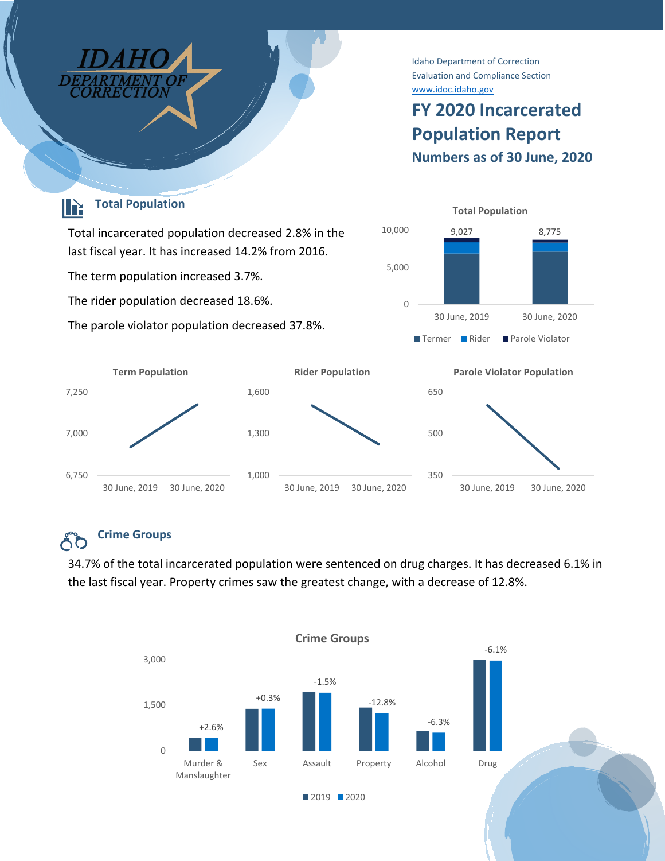

Idaho Department of Correction Evaluation and Compliance Section [www.idoc.idaho.gov](http://www.idoc.idaho.gov/)

## **FY 2020 Incarcerated Population Report Numbers as of 30 June, 2020**



#### **Crime Groups** ÅÕ

34.7% of the total incarcerated population were sentenced on drug charges. It has decreased 6.1% in the last fiscal year. Property crimes saw the greatest change, with a decrease of 12.8%.

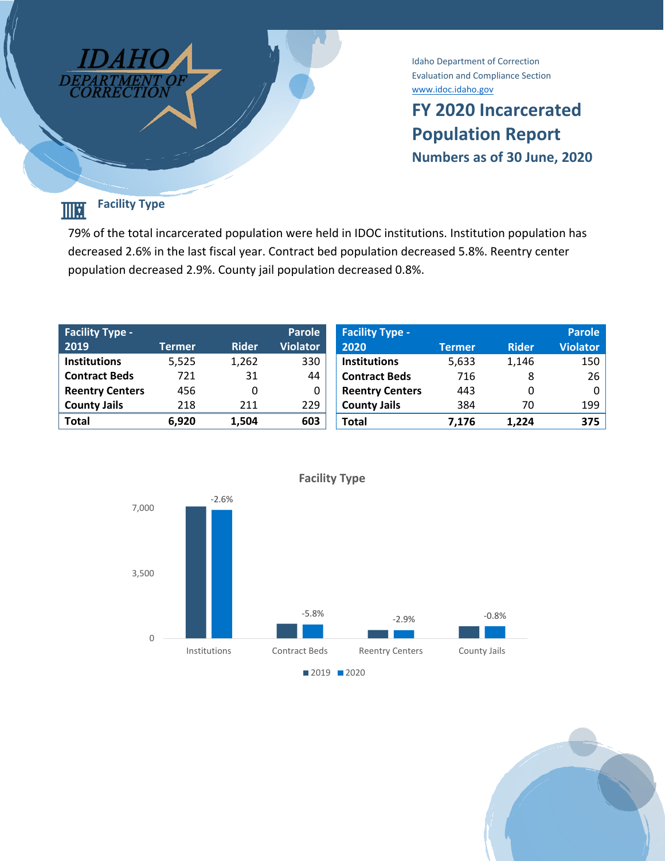

Idaho Department of Correction Evaluation and Compliance Section [www.idoc.idaho.gov](http://www.idoc.idaho.gov/)

# **FY 2020 Incarcerated Population Report Numbers as of 30 June, 2020**

**Facility Type THE** 

79% of the total incarcerated population were held in IDOC institutions. Institution population has decreased 2.6% in the last fiscal year. Contract bed population decreased 5.8%. Reentry center population decreased 2.9%. County jail population decreased 0.8%.

| <b>Facility Type -</b> |               |              | <b>Parole</b>   | <b>Facility Type -</b> |               |              | <b>Parole</b>   |
|------------------------|---------------|--------------|-----------------|------------------------|---------------|--------------|-----------------|
| 2019                   | <b>Termer</b> | <b>Rider</b> | <b>Violator</b> | 2020                   | <b>Termer</b> | <b>Rider</b> | <b>Violator</b> |
| <b>Institutions</b>    | 5.525         | 1,262        | 330             | <b>Institutions</b>    | 5,633         | 1.146        | 150             |
| <b>Contract Beds</b>   | 721           | 31           | 44              | <b>Contract Beds</b>   | 716           | 8            | 26              |
| <b>Reentry Centers</b> | 456           |              |                 | <b>Reentry Centers</b> | 443           | 0            | $\mathbf{0}$    |
| <b>County Jails</b>    | 218           | 211          | 229             | <b>County Jails</b>    | 384           | 70           | 199             |
| <b>Total</b>           | 6,920         | 1.504        | 603             | Total                  | 7.176         | 1.224        | 375             |